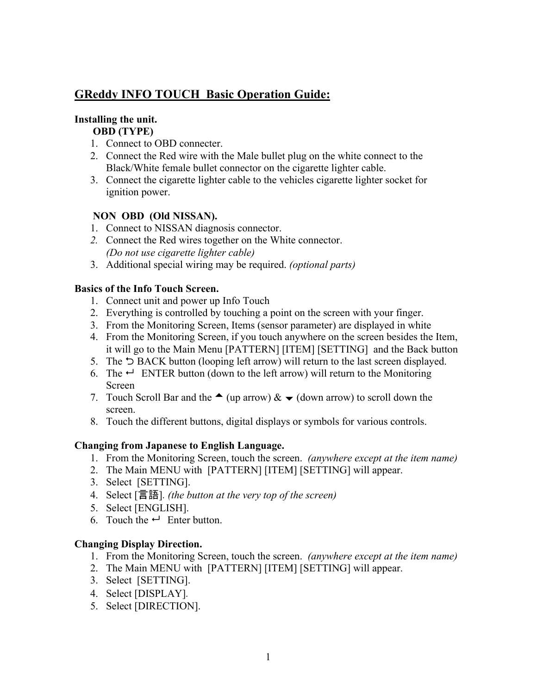# **GReddy INFO TOUCH Basic Operation Guide:**

### **Installing the unit. OBD (TYPE)**

- 1. Connect to OBD connecter.
- 2. Connect the Red wire with the Male bullet plug on the white connect to the Black/White female bullet connector on the cigarette lighter cable.
- 3. Connect the cigarette lighter cable to the vehicles cigarette lighter socket for ignition power.

## **NON OBD (Old NISSAN).**

- 1. Connect to NISSAN diagnosis connector.
- *2.* Connect the Red wires together on the White connector. *(Do not use cigarette lighter cable)*
- 3. Additional special wiring may be required. *(optional parts)*

## **Basics of the Info Touch Screen.**

- 1. Connect unit and power up Info Touch
- 2. Everything is controlled by touching a point on the screen with your finger.
- 3. From the Monitoring Screen, Items (sensor parameter) are displayed in white
- 4. From the Monitoring Screen, if you touch anywhere on the screen besides the Item, it will go to the Main Menu [PATTERN] [ITEM] [SETTING] and the Back button
- 5. The  $\supset$  BACK button (looping left arrow) will return to the last screen displayed.
- 6. The  $\leftarrow$  ENTER button (down to the left arrow) will return to the Monitoring Screen
- 7. Touch Scroll Bar and the  $\triangle$  (up arrow)  $\& \vee$  (down arrow) to scroll down the screen.
- 8. Touch the different buttons, digital displays or symbols for various controls.

## **Changing from Japanese to English Language.**

- 1. From the Monitoring Screen, touch the screen. *(anywhere except at the item name)*
- 2. The Main MENU with [PATTERN] [ITEM] [SETTING] will appear.
- 3. Select [SETTING].
- 4. Select [言語]. *(the button at the very top of the screen)*
- 5. Select [ENGLISH].
- 6. Touch the  $\leftarrow$  Enter button.

## **Changing Display Direction.**

- 1. From the Monitoring Screen, touch the screen. *(anywhere except at the item name)*
- 2. The Main MENU with [PATTERN] [ITEM] [SETTING] will appear.
- 3. Select [SETTING].
- 4. Select [DISPLAY].
- 5. Select [DIRECTION].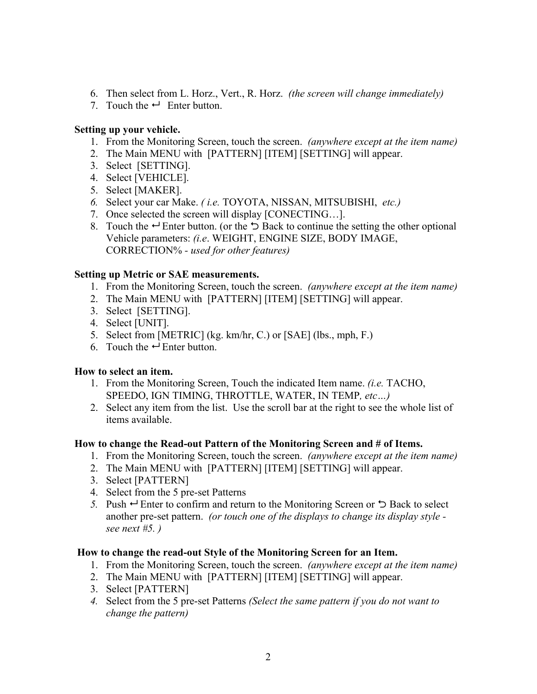- 6. Then select from L. Horz., Vert., R. Horz. *(the screen will change immediately)*
- 7. Touch the  $\leftarrow$  Enter button.

### **Setting up your vehicle.**

- 1. From the Monitoring Screen, touch the screen. *(anywhere except at the item name)*
- 2. The Main MENU with [PATTERN] [ITEM] [SETTING] will appear.
- 3. Select [SETTING].
- 4. Select [VEHICLE].
- 5. Select [MAKER].
- *6.* Select your car Make. *( i.e.* TOYOTA, NISSAN, MITSUBISHI, *etc.)*
- 7. Once selected the screen will display [CONECTING…].
- 8. Touch the  $\rightarrow$  Enter button. (or the  $\rightarrow$  Back to continue the setting the other optional Vehicle parameters: *(i.e*. WEIGHT, ENGINE SIZE, BODY IMAGE, CORRECTION% *- used for other features)*

### **Setting up Metric or SAE measurements.**

- 1. From the Monitoring Screen, touch the screen. *(anywhere except at the item name)*
- 2. The Main MENU with [PATTERN] [ITEM] [SETTING] will appear.
- 3. Select [SETTING].
- 4. Select [UNIT].
- 5. Select from [METRIC] (kg. km/hr, C.) or [SAE] (lbs., mph, F.)
- 6. Touch the  $\leftarrow$  Enter button.

## **How to select an item.**

- 1. From the Monitoring Screen, Touch the indicated Item name. *(i.e.* TACHO, SPEEDO, IGN TIMING, THROTTLE, WATER, IN TEMP*, etc…)*
- 2. Select any item from the list. Use the scroll bar at the right to see the whole list of items available.

## **How to change the Read-out Pattern of the Monitoring Screen and # of Items.**

- 1. From the Monitoring Screen, touch the screen. *(anywhere except at the item name)*
- 2. The Main MENU with [PATTERN] [ITEM] [SETTING] will appear.
- 3. Select [PATTERN]
- 4. Select from the 5 pre-set Patterns
- *5.* Push  $\rightarrow$  Enter to confirm and return to the Monitoring Screen or  $\rightarrow$  Back to select another pre-set pattern. *(or touch one of the displays to change its display style see next #5. )*

## **How to change the read-out Style of the Monitoring Screen for an Item.**

- 1. From the Monitoring Screen, touch the screen. *(anywhere except at the item name)*
- 2. The Main MENU with [PATTERN] [ITEM] [SETTING] will appear.
- 3. Select [PATTERN]
- *4.* Select from the 5 pre-set Patterns *(Select the same pattern if you do not want to change the pattern)*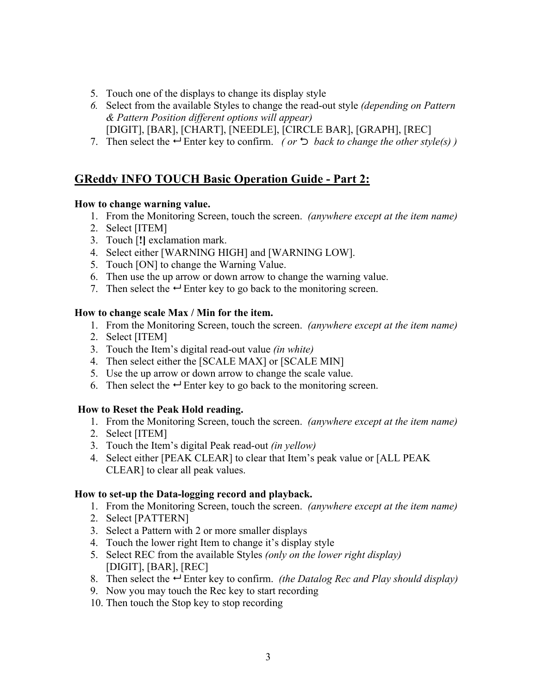- 5. Touch one of the displays to change its display style
- *6.* Select from the available Styles to change the read-out style *(depending on Pattern & Pattern Position different options will appear)* [DIGIT], [BAR], [CHART], [NEEDLE], [CIRCLE BAR], [GRAPH], [REC]
- 7. Then select the  $\rightarrow$  Enter key to confirm. *(or*  $\rightarrow$  *back to change the other style(s))*

## **GReddy INFO TOUCH Basic Operation Guide - Part 2:**

### **How to change warning value.**

- 1. From the Monitoring Screen, touch the screen. *(anywhere except at the item name)*
- 2. Select [ITEM]
- 3. Touch [**!]** exclamation mark.
- 4. Select either [WARNING HIGH] and [WARNING LOW].
- 5. Touch [ON] to change the Warning Value.
- 6. Then use the up arrow or down arrow to change the warning value.
- 7. Then select the  $\leftarrow$  Enter key to go back to the monitoring screen.

### **How to change scale Max / Min for the item.**

- 1. From the Monitoring Screen, touch the screen. *(anywhere except at the item name)*
- 2. Select [ITEM]
- 3. Touch the Item's digital read-out value *(in white)*
- 4. Then select either the [SCALE MAX] or [SCALE MIN]
- 5. Use the up arrow or down arrow to change the scale value.
- 6. Then select the  $\leftarrow$  Enter key to go back to the monitoring screen.

## **How to Reset the Peak Hold reading.**

- 1. From the Monitoring Screen, touch the screen. *(anywhere except at the item name)*
- 2. Select [ITEM]
- 3. Touch the Item's digital Peak read-out *(in yellow)*
- 4. Select either [PEAK CLEAR] to clear that Item's peak value or [ALL PEAK CLEAR] to clear all peak values.

## **How to set-up the Data-logging record and playback.**

- 1. From the Monitoring Screen, touch the screen. *(anywhere except at the item name)*
- 2. Select [PATTERN]
- 3. Select a Pattern with 2 or more smaller displays
- 4. Touch the lower right Item to change it's display style
- 5. Select REC from the available Styles *(only on the lower right display)* [DIGIT], [BAR], [REC]
- 8. Then select the  $\rightarrow$  Enter key to confirm. *(the Datalog Rec and Play should display)*
- 9. Now you may touch the Rec key to start recording
- 10. Then touch the Stop key to stop recording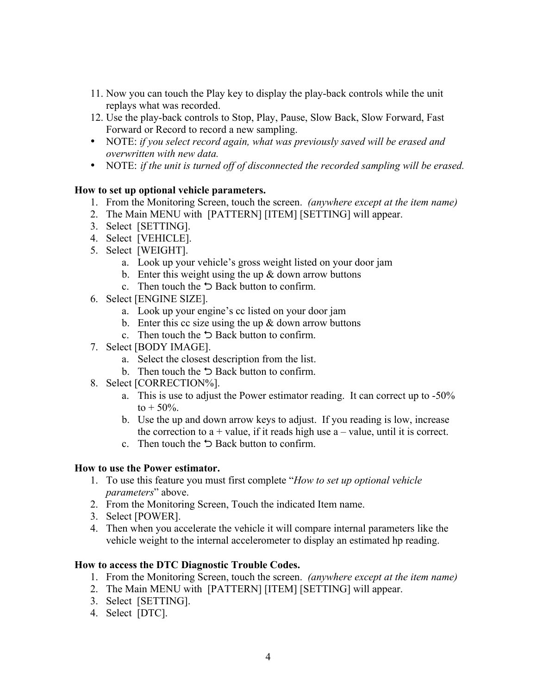- 11. Now you can touch the Play key to display the play-back controls while the unit replays what was recorded.
- 12. Use the play-back controls to Stop, Play, Pause, Slow Back, Slow Forward, Fast Forward or Record to record a new sampling.
- NOTE: *if you select record again, what was previously saved will be erased and overwritten with new data.*
- NOTE: *if the unit is turned off of disconnected the recorded sampling will be erased.*

## **How to set up optional vehicle parameters.**

- 1. From the Monitoring Screen, touch the screen. *(anywhere except at the item name)*
- 2. The Main MENU with [PATTERN] [ITEM] [SETTING] will appear.
- 3. Select [SETTING].
- 4. Select [VEHICLE].
- 5. Select [WEIGHT].
	- a. Look up your vehicle's gross weight listed on your door jam
	- b. Enter this weight using the up  $&$  down arrow buttons
	- c. Then touch the  $\supset$  Back button to confirm.
- 6. Select [ENGINE SIZE].
	- a. Look up your engine's cc listed on your door jam
	- b. Enter this cc size using the up  $&$  down arrow buttons
	- c. Then touch the  $\supset$  Back button to confirm.
- 7. Select [BODY IMAGE].
	- a. Select the closest description from the list.
	- b. Then touch the  $\supset$  Back button to confirm.
- 8. Select [CORRECTION%].
	- a. This is use to adjust the Power estimator reading. It can correct up to -50%  $to + 50\%$
	- b. Use the up and down arrow keys to adjust. If you reading is low, increase the correction to  $a +$  value, if it reads high use  $a -$  value, until it is correct.
	- c. Then touch the  $\supset$  Back button to confirm.

### **How to use the Power estimator.**

- 1. To use this feature you must first complete "*How to set up optional vehicle parameters*" above.
- 2. From the Monitoring Screen, Touch the indicated Item name.
- 3. Select [POWER].
- 4. Then when you accelerate the vehicle it will compare internal parameters like the vehicle weight to the internal accelerometer to display an estimated hp reading.

### **How to access the DTC Diagnostic Trouble Codes.**

- 1. From the Monitoring Screen, touch the screen. *(anywhere except at the item name)*
- 2. The Main MENU with [PATTERN] [ITEM] [SETTING] will appear.
- 3. Select [SETTING].
- 4. Select [DTC].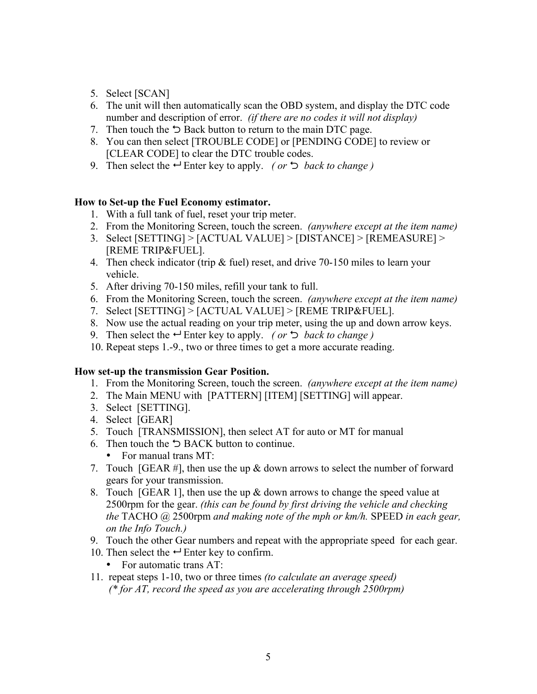- 5. Select [SCAN]
- 6. The unit will then automatically scan the OBD system, and display the DTC code number and description of error. *(if there are no codes it will not display)*
- 7. Then touch the  $\ddot{\triangleright}$  Back button to return to the main DTC page.
- 8. You can then select [TROUBLE CODE] or [PENDING CODE] to review or [CLEAR CODE] to clear the DTC trouble codes.
- 9. Then select the  $\leftarrow$  Enter key to apply. *(or*  $\bigcirc$  *back to change)*

### **How to Set-up the Fuel Economy estimator.**

- 1. With a full tank of fuel, reset your trip meter.
- 2. From the Monitoring Screen, touch the screen. *(anywhere except at the item name)*
- 3. Select [SETTING] > [ACTUAL VALUE] > [DISTANCE] > [REMEASURE] > [REME TRIP&FUEL].
- 4. Then check indicator (trip & fuel) reset, and drive 70-150 miles to learn your vehicle.
- 5. After driving 70-150 miles, refill your tank to full.
- 6. From the Monitoring Screen, touch the screen. *(anywhere except at the item name)*
- 7. Select [SETTING] > [ACTUAL VALUE] > [REME TRIP&FUEL].
- 8. Now use the actual reading on your trip meter, using the up and down arrow keys.
- 9. Then select the  $\leftarrow$  Enter key to apply. *(or*  $\bigcirc$  *back to change)*
- 10. Repeat steps 1.-9., two or three times to get a more accurate reading.

### **How set-up the transmission Gear Position.**

- 1. From the Monitoring Screen, touch the screen. *(anywhere except at the item name)*
- 2. The Main MENU with [PATTERN] [ITEM] [SETTING] will appear.
- 3. Select [SETTING].
- 4. Select [GEAR]
- 5. Touch [TRANSMISSION], then select AT for auto or MT for manual
- 6. Then touch the  $\supset$  BACK button to continue.
	- For manual trans MT:
- 7. Touch [GEAR #], then use the up  $\&$  down arrows to select the number of forward gears for your transmission.
- 8. Touch [GEAR 1], then use the up & down arrows to change the speed value at 2500rpm for the gear. *(this can be found by first driving the vehicle and checking the* TACHO @ 2500rpm *and making note of the mph or km/h.* SPEED *in each gear, on the Info Touch.)*
- 9. Touch the other Gear numbers and repeat with the appropriate speed for each gear.
- 10. Then select the  $\leftrightarrow$  Enter key to confirm.
	- For automatic trans AT:
- 11. repeat steps 1-10, two or three times *(to calculate an average speed) (\* for AT, record the speed as you are accelerating through 2500rpm)*